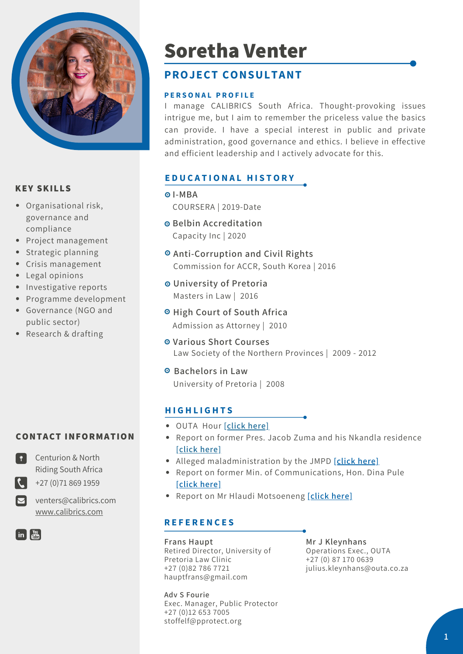

#### **KEY SKILLS**

- Organisational risk, governance and compliance
- Project management
- Strategic planning
- Crisis management
- Legal opinions
- Investigative reports
- Programme development
- Governance (NGO and public sector)
- Research & drafting

## **CONTACT INFORMATION**



Riding South Africa  $\leftarrow$  +27 (0)71 869 1959

Centurion & North

 $\nabla$  venters@calibrics.com [www.calibrics.com](http://www.calibrics.com/)

 $\lceil \text{in} \rceil \frac{\text{You}}{\text{dim} \mathbb{R}} \rceil$ 

# **Soretha Venter**

## **PROJECT CONSULTANT**

#### **P E R S O N A L P R O F I L E**

I manage CALIBRICS South Africa. Thought-provoking issues intrigue me, but I aim to remember the priceless value the basics can provide. I have a special interest in public and private administration, good governance and ethics. I believe in effective and efficient leadership and I actively advocate for this.

## **E D U C A T I O N A L H I S T O R Y**

- **I-MBA** COURSERA | 2019-Date
- **Belbin Accreditation** Capacity Inc | 2020
- **Anti-Corruption and Civil Rights** Commission for ACCR, South Korea | 2016
- **University of Pretoria** Masters in Law | 2016
- **High Court of South Africa** Admission as Attorney | 2010
- **Various Short Courses** Law Society of the Northern Provinces | 2009 - 2012
- **Bachelors in Law** University of Pretoria | 2008

## **H I G H L I G H T S**

- OUTA Hour **[\[click](https://www.picuki.com/media/2135768525210213877) here]**
- Report on former Pres. Jacob Zuma and his Nkandla residence **[\[click](https://cdn.24.co.za/files/Cms/General/d/2718/00b91b2841d64510b9c99ef9b9faa597.pdf) here]**
- Alleged maladministration by the JMPD **[\[click](http://www.pprotect.org/sites/default/files/Legislation_report/A%20MATTER%20OF%20INTERPRETATION%20REPORT_0.pdf) here]**
- Report on former Min. of Communications, Hon. Dina Pule **[\[click](http://www.pprotect.org/sites/default/files/Legislation_report/A%20MATTER%20OF%20INTERPRETATION%20REPORT_0.pdf) here]**
- Report on Mr Hlaudi Motsoeneng **[\[click](http://www.pprotect.org/sites/default/files/Legislation_report/SABC%20FINAL%20REPORT%2017%20FEBRUARY%202014.pdf) here]**

## **R E F E R E N C E S**

**Frans Haupt** Retired Director, University of Pretoria Law Clinic +27 (0)82 786 7721 hauptfrans@gmail.com

**Adv S Fourie** Exec. Manager, Public Protector +27 (0)12 653 7005 stoffelf@pprotect.org

**Mr J Kleynhans** Operations Exec., OUTA +27 (0) 87 170 0639 julius.kleynhans@outa.co.za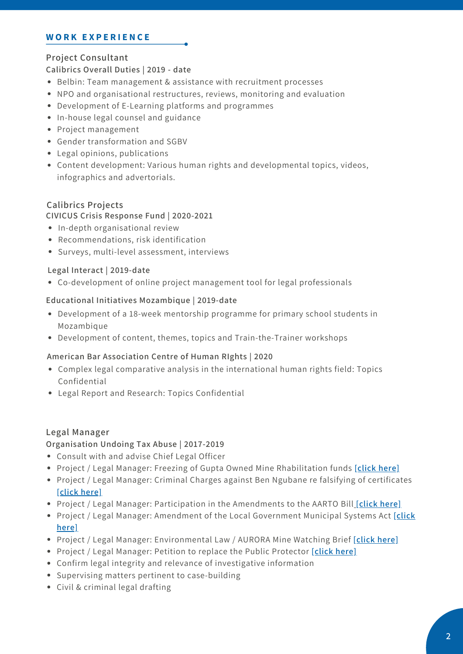#### **W O R K E X P E R I E N C E**

## **Project Consultant**

**Calibrics Overall Duties | 2019 - date**

- Belbin: Team management & assistance with recruitment processes
- NPO and organisational restructures, reviews, monitoring and evaluation
- Development of E-Learning platforms and programmes
- In-house legal counsel and guidance
- Project management
- Gender transformation and SGBV
- Legal opinions, publications
- Content development: Various human rights and developmental topics, videos, infographics and advertorials.

#### **Calibrics Projects**

#### **CIVICUS Crisis Response Fund | 2020-2021**

- In-depth organisational review
- Recommendations, risk identification
- Surveys, multi-level assessment, interviews

#### **Legal Interact | 2019-date**

Co-development of online project management tool for legal professionals

#### **Educational Initiatives Mozambique | 2019-date**

- Development of a 18-week mentorship programme for primary school students in Mozambique
- Development of content, themes, topics and Train-the-Trainer workshops

#### **American Bar Association Centre of Human RIghts | 2020**

- Complex legal comparative analysis in the international human rights field: Topics Confidential
- Legal Report and Research: Topics Confidential

#### **Legal Manager**

**Organisation Undoing Tax Abuse | 2017-2019**

- Consult with and advise Chief Legal Officer
- Project / Legal Manager: Freezing of Gupta Owned Mine Rhabilitation funds **[\[click](https://www.outa.co.za/projects/state-capture/bank-of-baroda) here]**
- Project / Legal Manager: Criminal Charges against Ben Ngubane re falsifying of certificates **[\[click](https://www.outa.co.za/projects/energy/ben-ngubane) here]**
- Project / Legal Manager: Participation in the Amendments to the AARTO Bill **[\[click](https://www.outa.co.za/projects/transport/aarto-fix-isnt-good-enough) here]**
- Project / Legal Manager: Amendment of the Local [Government](https://www.outa.co.za/blog/newsroom-1/post/time-to-go-outa-tells-public-protector-293) Municipal Systems Act **[click here]**
- Project / Legal Manager: Environmental Law / AURORA Mine Watching Brief **[\[click](https://www.outa.co.za/blog/newsroom-1/post/aurora-directors-face-charges-in-court-135) here]**
- Project / Legal Manager: Petition to replace the Public Protector **[\[click](https://www.outa.co.za/blog/newsroom-1/post/time-to-go-outa-tells-public-protector-293) here]**
- Confirm legal integrity and relevance of investigative information
- Supervising matters pertinent to case-building
- Civil & criminal legal drafting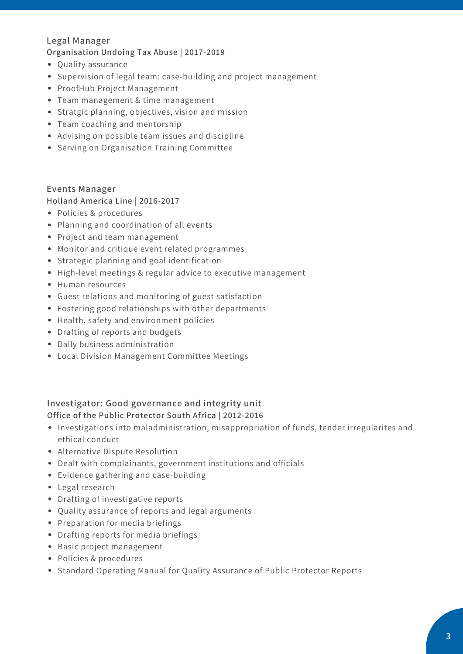## **Legal Manager**

#### **Organisation Undoing Tax Abuse | 2017-2019**

- Quality assurance
- Supervision of legal team: case-building and project management
- ProofHub Project Management
- Team management & time management
- Stratgic planning, objectives, vision and mission
- Team coaching and mentorship
- Advising on possible team issues and discipline
- Serving on Organisation Training Committee

#### **Events Manager**

#### **Holland America Line | 2016-2017**

- Policies & procedures
- Planning and coordination of all events
- Project and team management
- Monitor and critique event related programmes
- Strategic planning and goal identification
- High-level meetings & regular advice to executive management
- Human resources
- Guest relations and monitoring of guest satisfaction
- Fostering good relationships with other departments
- Health, safety and environment policies
- Drafting of reports and budgets
- Daily business administration
- Local Division Management Committee Meetings

## **Investigator: Good governance and integrity unit Office of the Public Protector South Africa | 2012-2016**

- Investigations into maladministration, misappropriation of funds, tender irregularites and ethical conduct
- Alternative Dispute Resolution
- Dealt with complainants, government institutions and officials
- Evidence gathering and case-building
- Legal research
- Drafting of investigative reports
- Quality assurance of reports and legal arguments
- Preparation for media briefings
- Drafting reports for media briefings
- Basic project management
- Policies & procedures
- Standard Operating Manual for Quality Assurance of Public Protector Reports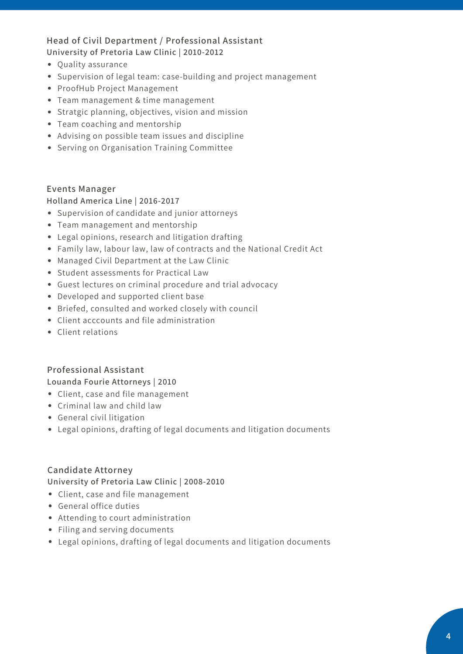## **Head of Civil Department / Professional Assistant University of Pretoria Law Clinic | 2010-2012**

- Quality assurance
- Supervision of legal team: case-building and project management
- ProofHub Project Management
- Team management & time management
- Stratgic planning, objectives, vision and mission
- Team coaching and mentorship
- Advising on possible team issues and discipline
- **•** Serving on Organisation Training Committee

#### **Events Manager**

**Holland America Line | 2016-2017**

- Supervision of candidate and junior attorneys
- Team management and mentorship
- Legal opinions, research and litigation drafting
- Family law, labour law, law of contracts and the National Credit Act
- Managed Civil Department at the Law Clinic
- Student assessments for Practical Law
- Guest lectures on criminal procedure and trial advocacy
- Developed and supported client base
- Briefed, consulted and worked closely with council
- Client acccounts and file administration
- Client relations

#### **Professional Assistant**

**Louanda Fourie Attorneys | 2010**

- Client, case and file management
- Criminal law and child law
- General civil litigation
- Legal opinions, drafting of legal documents and litigation documents

#### **Candidate Attorney**

#### **University of Pretoria Law Clinic | 2008-2010**

- Client, case and file management
- General office duties
- Attending to court administration
- Filing and serving documents
- Legal opinions, drafting of legal documents and litigation documents